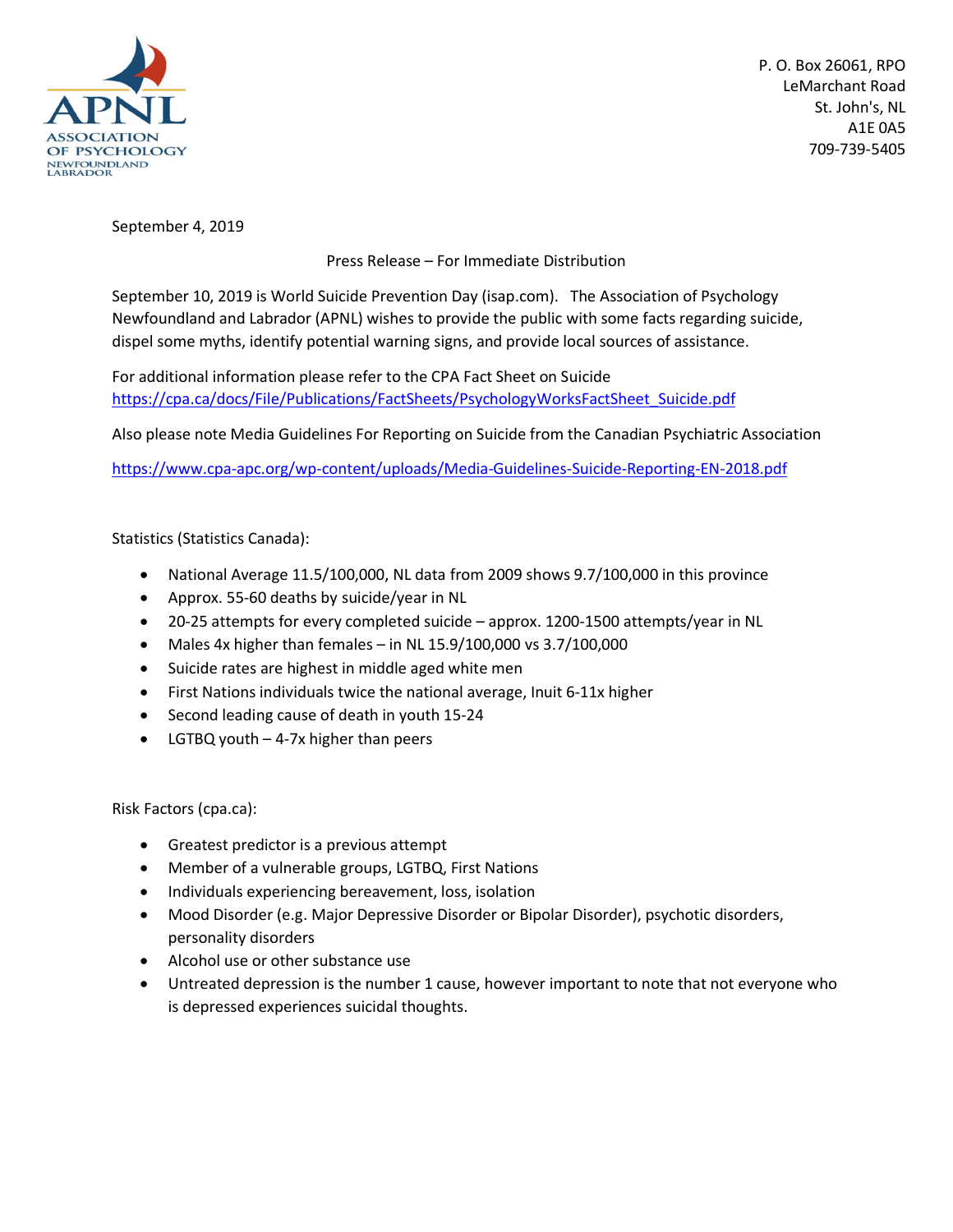

P. O. Box 26061, RPO LeMarchant Road St. John's, NL A1E 0A5 709-739-5405

September 4, 2019

Press Release – For Immediate Distribution

September 10, 2019 is World Suicide Prevention Day (isap.com). The Association of Psychology Newfoundland and Labrador (APNL) wishes to provide the public with some facts regarding suicide, dispel some myths, identify potential warning signs, and provide local sources of assistance.

For additional information please refer to the CPA Fact Sheet on Suicide https://cpa.ca/docs/File/Publications/FactSheets/PsychologyWorksFactSheet\_Suicide.pdf

Also please note Media Guidelines For Reporting on Suicide from the Canadian Psychiatric Association

https://www.cpa-apc.org/wp-content/uploads/Media-Guidelines-Suicide-Reporting-EN-2018.pdf

## Statistics (Statistics Canada):

- National Average 11.5/100,000, NL data from 2009 shows 9.7/100,000 in this province
- Approx. 55-60 deaths by suicide/year in NL
- 20-25 attempts for every completed suicide approx. 1200-1500 attempts/year in NL
- $\bullet$  Males 4x higher than females in NL 15.9/100,000 vs 3.7/100,000
- Suicide rates are highest in middle aged white men
- First Nations individuals twice the national average, Inuit 6-11x higher
- Second leading cause of death in youth 15-24
- LGTBQ youth 4-7x higher than peers

Risk Factors (cpa.ca):

- Greatest predictor is a previous attempt
- Member of a vulnerable groups, LGTBQ, First Nations
- Individuals experiencing bereavement, loss, isolation
- Mood Disorder (e.g. Major Depressive Disorder or Bipolar Disorder), psychotic disorders, personality disorders
- Alcohol use or other substance use
- Untreated depression is the number 1 cause, however important to note that not everyone who is depressed experiences suicidal thoughts.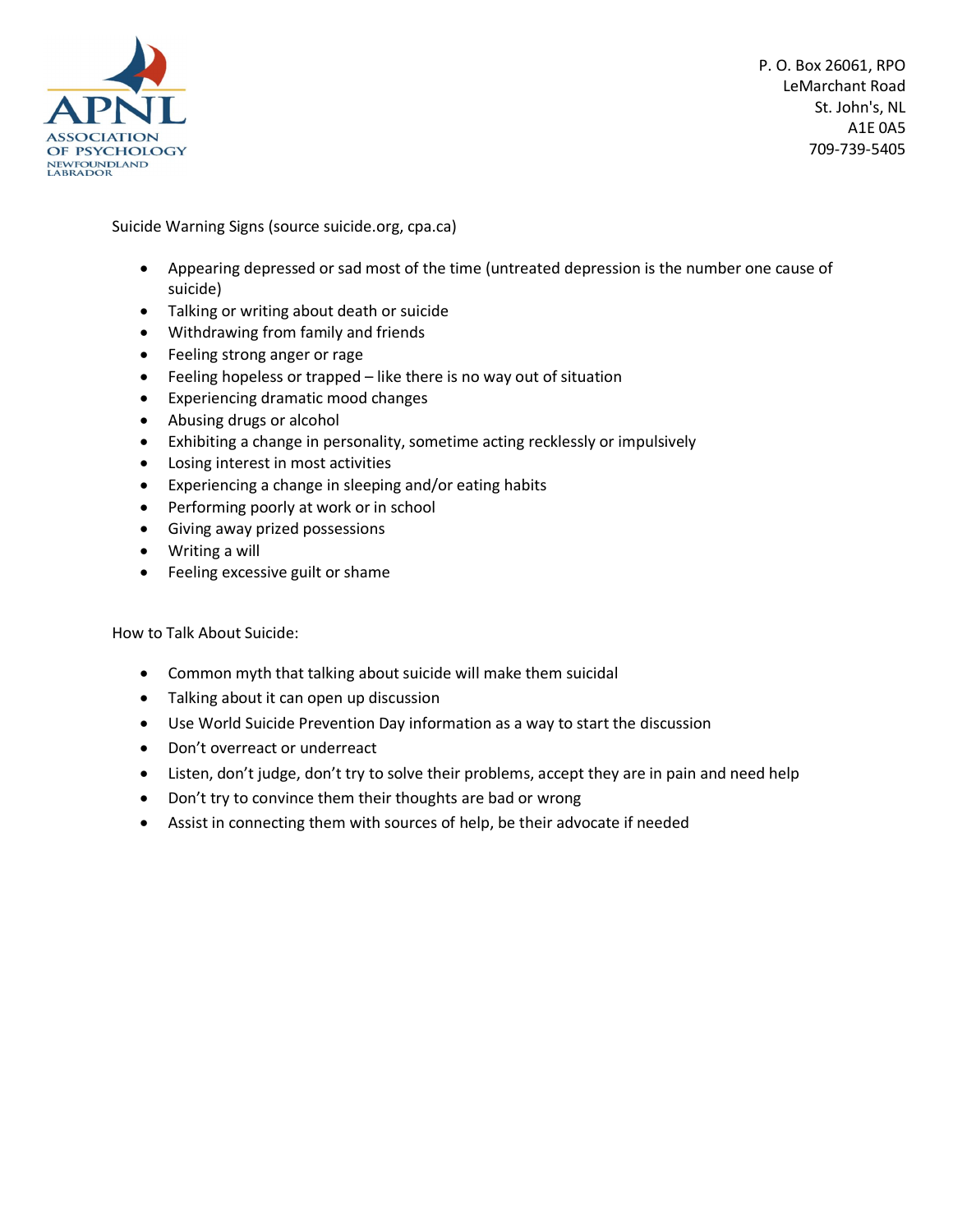

P. O. Box 26061, RPO LeMarchant Road St. John's, NL A1E 0A5 709-739-5405

Suicide Warning Signs (source suicide.org, cpa.ca)

- Appearing depressed or sad most of the time (untreated depression is the number one cause of suicide)
- Talking or writing about death or suicide
- Withdrawing from family and friends
- Feeling strong anger or rage
- Feeling hopeless or trapped like there is no way out of situation
- Experiencing dramatic mood changes
- Abusing drugs or alcohol
- Exhibiting a change in personality, sometime acting recklessly or impulsively
- Losing interest in most activities
- Experiencing a change in sleeping and/or eating habits
- Performing poorly at work or in school
- Giving away prized possessions
- Writing a will
- Feeling excessive guilt or shame

How to Talk About Suicide:

- Common myth that talking about suicide will make them suicidal
- Talking about it can open up discussion
- Use World Suicide Prevention Day information as a way to start the discussion
- Don't overreact or underreact
- Listen, don't judge, don't try to solve their problems, accept they are in pain and need help
- Don't try to convince them their thoughts are bad or wrong
- Assist in connecting them with sources of help, be their advocate if needed